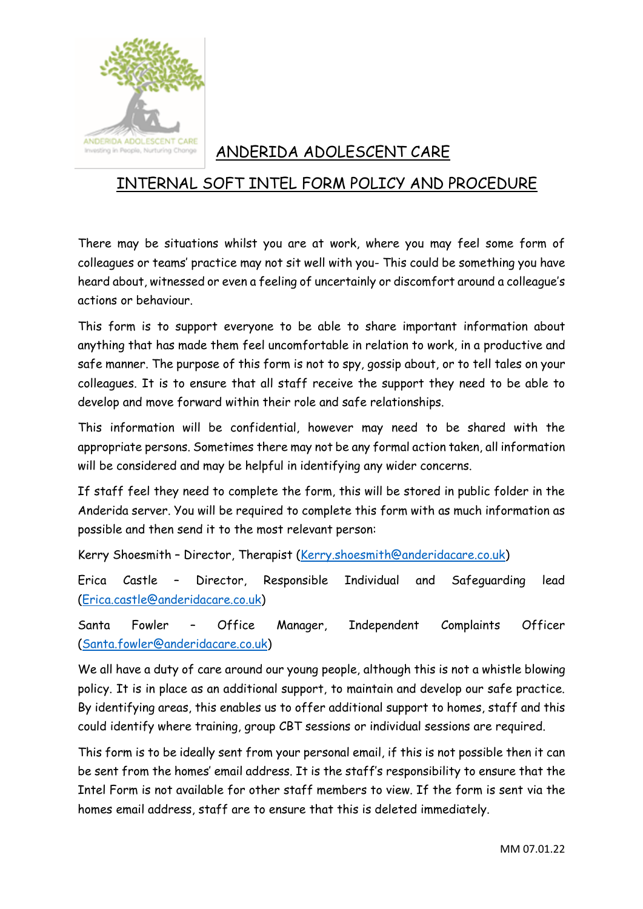

## ANDERIDA ADOLESCENT CARE

## INTERNAL SOFT INTEL FORM POLICY AND PROCEDURE

There may be situations whilst you are at work, where you may feel some form of colleagues or teams' practice may not sit well with you- This could be something you have heard about, witnessed or even a feeling of uncertainly or discomfort around a colleague's actions or behaviour.

This form is to support everyone to be able to share important information about anything that has made them feel uncomfortable in relation to work, in a productive and safe manner. The purpose of this form is not to spy, gossip about, or to tell tales on your colleagues. It is to ensure that all staff receive the support they need to be able to develop and move forward within their role and safe relationships.

This information will be confidential, however may need to be shared with the appropriate persons. Sometimes there may not be any formal action taken, all information will be considered and may be helpful in identifying any wider concerns.

If staff feel they need to complete the form, this will be stored in public folder in the Anderida server. You will be required to complete this form with as much information as possible and then send it to the most relevant person:

Kerry Shoesmith – Director, Therapist [\(Kerry.shoesmith@anderidacare.co.uk\)](mailto:Kerry.shoesmith@anderidacare.co.uk)

Erica Castle – Director, Responsible Individual and Safeguarding lead [\(Erica.castle@anderidacare.co.uk\)](mailto:Erica.castle@anderidacare.co.uk)

Santa Fowler – Office Manager, Independent Complaints Officer [\(Santa.fowler@anderidacare.co.uk\)](mailto:Santa.fowler@anderidacare.co.uk)

We all have a duty of care around our young people, although this is not a whistle blowing policy. It is in place as an additional support, to maintain and develop our safe practice. By identifying areas, this enables us to offer additional support to homes, staff and this could identify where training, group CBT sessions or individual sessions are required.

This form is to be ideally sent from your personal email, if this is not possible then it can be sent from the homes' email address. It is the staff's responsibility to ensure that the Intel Form is not available for other staff members to view. If the form is sent via the homes email address, staff are to ensure that this is deleted immediately.